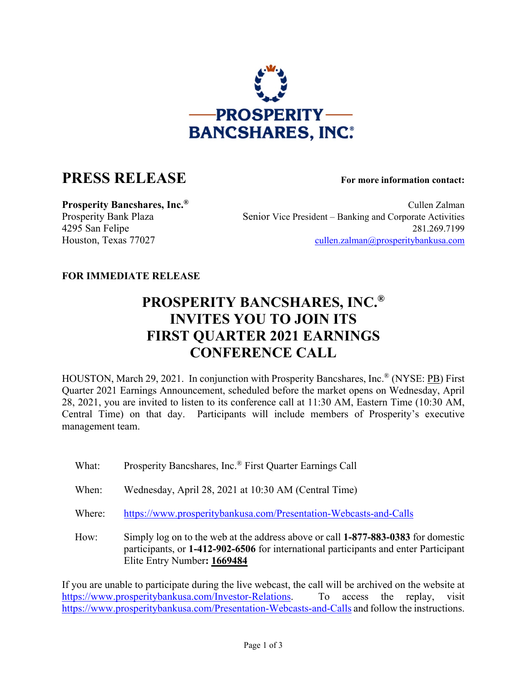

## **PRESS RELEASE For more information contact:**

**Prosperity Bancshares, Inc.<sup>®</sup> Cullen Zalman** Prosperity Bank Plaza Senior Vice President – Banking and Corporate Activities 4295 San Felipe 281.269.7199 Houston, Texas 77027 [cullen.zalman@prosperitybankusa.com](mailto:cullen.zalman@prosperitybankusa.com)

## **FOR IMMEDIATE RELEASE**

## **PROSPERITY BANCSHARES, INC.® INVITES YOU TO JOIN ITS FIRST QUARTER 2021 EARNINGS CONFERENCE CALL**

HOUSTON, March 29, 2021. In conjunction with Prosperity Bancshares, Inc.® (NYSE: PB) First Quarter 2021 Earnings Announcement, scheduled before the market opens on Wednesday, April 28, 2021, you are invited to listen to its conference call at 11:30 AM, Eastern Time (10:30 AM, Central Time) on that day. Participants will include members of Prosperity's executive management team.

- What: Prosperity Bancshares, Inc.<sup>®</sup> First Quarter Earnings Call
- When: Wednesday, April 28, 2021 at 10:30 AM (Central Time)
- Where: <https://www.prosperitybankusa.com/Presentation-Webcasts-and-Calls>
- How: Simply log on to the web at the address above or call **1-877-883-0383** for domestic participants, or **1-412-902-6506** for international participants and enter Participant Elite Entry Number**: 1669484**

If you are unable to participate during the live webcast, the call will be archived on the website at [https://www.prosperitybankusa.com/Investor-Relations.](https://www.prosperitybankusa.com/Investor-Relations) To access the replay, visit <https://www.prosperitybankusa.com/Presentation-Webcasts-and-Calls> and follow the instructions.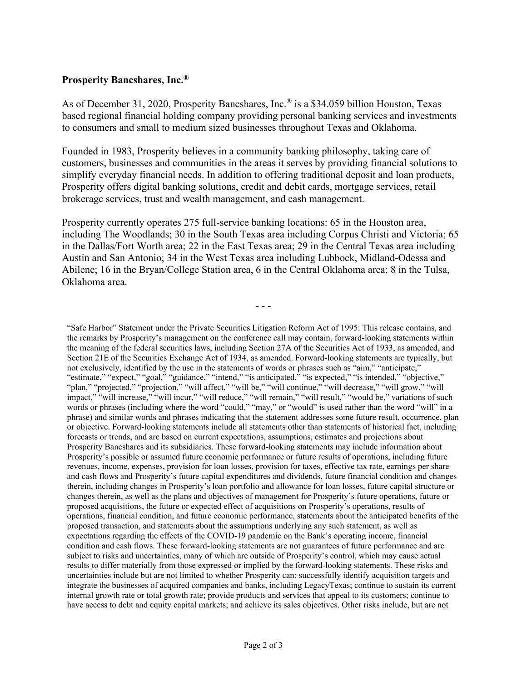## **Prosperity Bancshares, Inc.®**

As of December 31, 2020, Prosperity Bancshares, Inc.® is a \$34.059 billion Houston, Texas based regional financial holding company providing personal banking services and investments to consumers and small to medium sized businesses throughout Texas and Oklahoma.

Founded in 1983, Prosperity believes in a community banking philosophy, taking care of customers, businesses and communities in the areas it serves by providing financial solutions to simplify everyday financial needs. In addition to offering traditional deposit and loan products, Prosperity offers digital banking solutions, credit and debit cards, mortgage services, retail brokerage services, trust and wealth management, and cash management.

Prosperity currently operates 275 full-service banking locations: 65 in the Houston area, including The Woodlands; 30 in the South Texas area including Corpus Christi and Victoria; 65 in the Dallas/Fort Worth area; 22 in the East Texas area; 29 in the Central Texas area including Austin and San Antonio; 34 in the West Texas area including Lubbock, Midland-Odessa and Abilene; 16 in the Bryan/College Station area, 6 in the Central Oklahoma area; 8 in the Tulsa, Oklahoma area.

- - -

"Safe Harbor" Statement under the Private Securities Litigation Reform Act of 1995: This release contains, and the remarks by Prosperity's management on the conference call may contain, forward-looking statements within the meaning of the federal securities laws, including Section 27A of the Securities Act of 1933, as amended, and Section 21E of the Securities Exchange Act of 1934, as amended. Forward-looking statements are typically, but not exclusively, identified by the use in the statements of words or phrases such as "aim," "anticipate," "estimate," "expect," "goal," "guidance," "intend," "is anticipated," "is expected," "is intended," "objective," "plan," "projected," "projection," "will affect," "will be," "will continue," "will decrease," "will grow," "will impact," "will increase," "will incur," "will reduce," "will remain," "will result," "would be," variations of such words or phrases (including where the word "could," "may," or "would" is used rather than the word "will" in a phrase) and similar words and phrases indicating that the statement addresses some future result, occurrence, plan or objective. Forward-looking statements include all statements other than statements of historical fact, including forecasts or trends, and are based on current expectations, assumptions, estimates and projections about Prosperity Bancshares and its subsidiaries. These forward-looking statements may include information about Prosperity's possible or assumed future economic performance or future results of operations, including future revenues, income, expenses, provision for loan losses, provision for taxes, effective tax rate, earnings per share and cash flows and Prosperity's future capital expenditures and dividends, future financial condition and changes therein, including changes in Prosperity's loan portfolio and allowance for loan losses, future capital structure or changes therein, as well as the plans and objectives of management for Prosperity's future operations, future or proposed acquisitions, the future or expected effect of acquisitions on Prosperity's operations, results of operations, financial condition, and future economic performance, statements about the anticipated benefits of the proposed transaction, and statements about the assumptions underlying any such statement, as well as expectations regarding the effects of the COVID-19 pandemic on the Bank's operating income, financial condition and cash flows. These forward-looking statements are not guarantees of future performance and are subject to risks and uncertainties, many of which are outside of Prosperity's control, which may cause actual results to differ materially from those expressed or implied by the forward-looking statements. These risks and uncertainties include but are not limited to whether Prosperity can: successfully identify acquisition targets and integrate the businesses of acquired companies and banks, including LegacyTexas; continue to sustain its current internal growth rate or total growth rate; provide products and services that appeal to its customers; continue to have access to debt and equity capital markets; and achieve its sales objectives. Other risks include, but are not